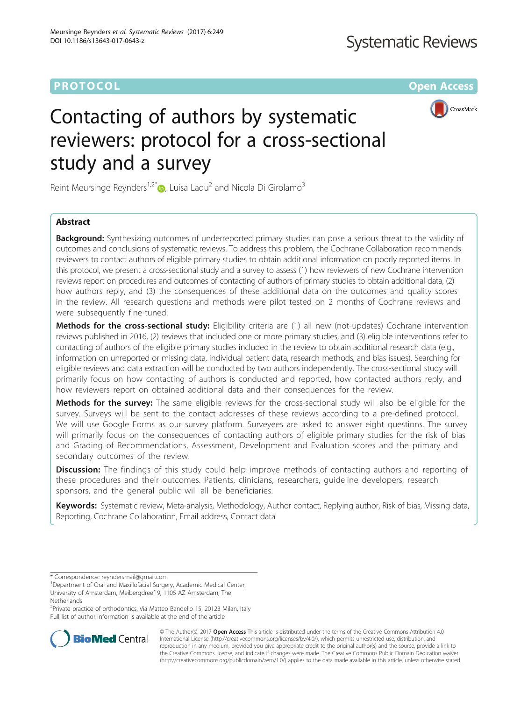# **PROTOCOL CONSUMING THE CONSUMING TEACHER CONSUMING THE CONSUMING TEACHER CONSUMING THE CONSUMING TEACHER CONSUMING**



# Contacting of authors by systematic reviewers: protocol for a cross-sectional study and a survey

Reint Meursinge Reynders<sup>1,2\*</sup>  $\bullet$ , Luisa Ladu<sup>2</sup> and Nicola Di Girolamo<sup>3</sup>

# Abstract

**Background:** Synthesizing outcomes of underreported primary studies can pose a serious threat to the validity of outcomes and conclusions of systematic reviews. To address this problem, the Cochrane Collaboration recommends reviewers to contact authors of eligible primary studies to obtain additional information on poorly reported items. In this protocol, we present a cross-sectional study and a survey to assess (1) how reviewers of new Cochrane intervention reviews report on procedures and outcomes of contacting of authors of primary studies to obtain additional data, (2) how authors reply, and (3) the consequences of these additional data on the outcomes and quality scores in the review. All research questions and methods were pilot tested on 2 months of Cochrane reviews and were subsequently fine-tuned.

Methods for the cross-sectional study: Eligibility criteria are (1) all new (not-updates) Cochrane intervention reviews published in 2016, (2) reviews that included one or more primary studies, and (3) eligible interventions refer to contacting of authors of the eligible primary studies included in the review to obtain additional research data (e.g., information on unreported or missing data, individual patient data, research methods, and bias issues). Searching for eligible reviews and data extraction will be conducted by two authors independently. The cross-sectional study will primarily focus on how contacting of authors is conducted and reported, how contacted authors reply, and how reviewers report on obtained additional data and their consequences for the review.

Methods for the survey: The same eligible reviews for the cross-sectional study will also be eligible for the survey. Surveys will be sent to the contact addresses of these reviews according to a pre-defined protocol. We will use Google Forms as our survey platform. Surveyees are asked to answer eight questions. The survey will primarily focus on the consequences of contacting authors of eligible primary studies for the risk of bias and Grading of Recommendations, Assessment, Development and Evaluation scores and the primary and secondary outcomes of the review.

**Discussion:** The findings of this study could help improve methods of contacting authors and reporting of these procedures and their outcomes. Patients, clinicians, researchers, guideline developers, research sponsors, and the general public will all be beneficiaries.

Keywords: Systematic review, Meta-analysis, Methodology, Author contact, Replying author, Risk of bias, Missing data, Reporting, Cochrane Collaboration, Email address, Contact data

<sup>2</sup>Private practice of orthodontics, Via Matteo Bandello 15, 20123 Milan, Italy Full list of author information is available at the end of the article



© The Author(s). 2017 **Open Access** This article is distributed under the terms of the Creative Commons Attribution 4.0 International License [\(http://creativecommons.org/licenses/by/4.0/](http://creativecommons.org/licenses/by/4.0/)), which permits unrestricted use, distribution, and reproduction in any medium, provided you give appropriate credit to the original author(s) and the source, provide a link to the Creative Commons license, and indicate if changes were made. The Creative Commons Public Domain Dedication waiver [\(http://creativecommons.org/publicdomain/zero/1.0/](http://creativecommons.org/publicdomain/zero/1.0/)) applies to the data made available in this article, unless otherwise stated.

<sup>\*</sup> Correspondence: [reyndersmail@gmail.com](mailto:reyndersmail@gmail.com) <sup>1</sup>

<sup>&</sup>lt;sup>1</sup>Department of Oral and Maxillofacial Surgery, Academic Medical Center, University of Amsterdam, Meibergdreef 9, 1105 AZ Amsterdam, The Netherlands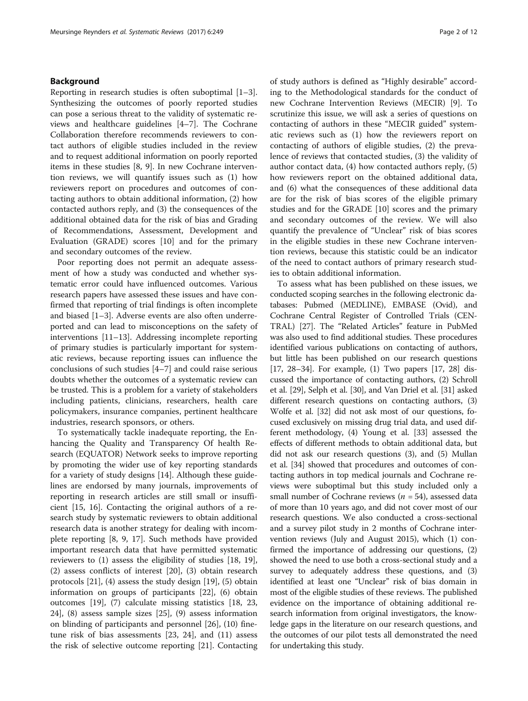## Background

Reporting in research studies is often suboptimal [\[1](#page-10-0)–[3](#page-10-0)]. Synthesizing the outcomes of poorly reported studies can pose a serious threat to the validity of systematic reviews and healthcare guidelines [[4](#page-10-0)–[7](#page-10-0)]. The Cochrane Collaboration therefore recommends reviewers to contact authors of eligible studies included in the review and to request additional information on poorly reported items in these studies [\[8](#page-10-0), [9\]](#page-10-0). In new Cochrane intervention reviews, we will quantify issues such as (1) how reviewers report on procedures and outcomes of contacting authors to obtain additional information, (2) how contacted authors reply, and (3) the consequences of the additional obtained data for the risk of bias and Grading of Recommendations, Assessment, Development and Evaluation (GRADE) scores [[10\]](#page-10-0) and for the primary and secondary outcomes of the review.

Poor reporting does not permit an adequate assessment of how a study was conducted and whether systematic error could have influenced outcomes. Various research papers have assessed these issues and have confirmed that reporting of trial findings is often incomplete and biased [[1](#page-10-0)–[3\]](#page-10-0). Adverse events are also often underreported and can lead to misconceptions on the safety of interventions [[11](#page-10-0)–[13\]](#page-10-0). Addressing incomplete reporting of primary studies is particularly important for systematic reviews, because reporting issues can influence the conclusions of such studies [[4](#page-10-0)–[7](#page-10-0)] and could raise serious doubts whether the outcomes of a systematic review can be trusted. This is a problem for a variety of stakeholders including patients, clinicians, researchers, health care policymakers, insurance companies, pertinent healthcare industries, research sponsors, or others.

To systematically tackle inadequate reporting, the Enhancing the Quality and Transparency Of health Research (EQUATOR) Network seeks to improve reporting by promoting the wider use of key reporting standards for a variety of study designs [[14\]](#page-10-0). Although these guidelines are endorsed by many journals, improvements of reporting in research articles are still small or insufficient [\[15](#page-10-0), [16](#page-10-0)]. Contacting the original authors of a research study by systematic reviewers to obtain additional research data is another strategy for dealing with incomplete reporting [\[8, 9](#page-10-0), [17\]](#page-10-0). Such methods have provided important research data that have permitted systematic reviewers to (1) assess the eligibility of studies [\[18](#page-10-0), [19](#page-10-0)], (2) assess conflicts of interest [[20\]](#page-10-0), (3) obtain research protocols [[21\]](#page-10-0), (4) assess the study design [[19](#page-10-0)], (5) obtain information on groups of participants [\[22\]](#page-10-0), (6) obtain outcomes [[19](#page-10-0)], (7) calculate missing statistics [\[18](#page-10-0), [23](#page-10-0), [24\]](#page-10-0), (8) assess sample sizes [[25\]](#page-10-0), (9) assess information on blinding of participants and personnel [\[26\]](#page-11-0), (10) finetune risk of bias assessments [[23](#page-10-0), [24](#page-10-0)], and (11) assess the risk of selective outcome reporting [[21](#page-10-0)]. Contacting of study authors is defined as "Highly desirable" according to the Methodological standards for the conduct of new Cochrane Intervention Reviews (MECIR) [\[9](#page-10-0)]. To scrutinize this issue, we will ask a series of questions on contacting of authors in these "MECIR guided" systematic reviews such as (1) how the reviewers report on contacting of authors of eligible studies, (2) the prevalence of reviews that contacted studies, (3) the validity of author contact data, (4) how contacted authors reply, (5) how reviewers report on the obtained additional data, and (6) what the consequences of these additional data are for the risk of bias scores of the eligible primary studies and for the GRADE [\[10](#page-10-0)] scores and the primary and secondary outcomes of the review. We will also quantify the prevalence of "Unclear" risk of bias scores in the eligible studies in these new Cochrane intervention reviews, because this statistic could be an indicator of the need to contact authors of primary research studies to obtain additional information.

To assess what has been published on these issues, we conducted scoping searches in the following electronic databases: Pubmed (MEDLINE), EMBASE (Ovid), and Cochrane Central Register of Controlled Trials (CEN-TRAL) [[27\]](#page-11-0). The "Related Articles" feature in PubMed was also used to find additional studies. These procedures identified various publications on contacting of authors, but little has been published on our research questions [[17](#page-10-0), [28](#page-11-0)–[34](#page-11-0)]. For example, (1) Two papers [[17,](#page-10-0) [28\]](#page-11-0) discussed the importance of contacting authors, (2) Schroll et al. [\[29\]](#page-11-0), Selph et al. [\[30\]](#page-11-0), and Van Driel et al. [\[31](#page-11-0)] asked different research questions on contacting authors, (3) Wolfe et al. [[32](#page-11-0)] did not ask most of our questions, focused exclusively on missing drug trial data, and used different methodology, (4) Young et al. [\[33\]](#page-11-0) assessed the effects of different methods to obtain additional data, but did not ask our research questions (3), and (5) Mullan et al. [\[34\]](#page-11-0) showed that procedures and outcomes of contacting authors in top medical journals and Cochrane reviews were suboptimal but this study included only a small number of Cochrane reviews ( $n = 54$ ), assessed data of more than 10 years ago, and did not cover most of our research questions. We also conducted a cross-sectional and a survey pilot study in 2 months of Cochrane intervention reviews (July and August 2015), which (1) confirmed the importance of addressing our questions, (2) showed the need to use both a cross-sectional study and a survey to adequately address these questions, and (3) identified at least one "Unclear" risk of bias domain in most of the eligible studies of these reviews. The published evidence on the importance of obtaining additional research information from original investigators, the knowledge gaps in the literature on our research questions, and the outcomes of our pilot tests all demonstrated the need for undertaking this study.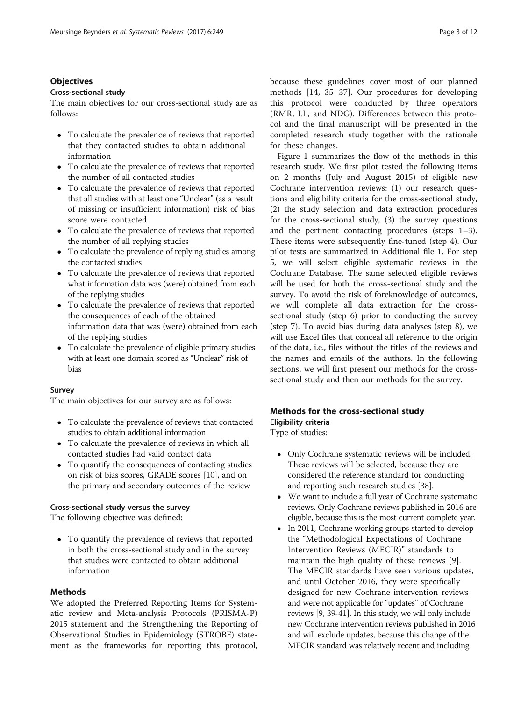## **Objectives**

#### Cross-sectional study

The main objectives for our cross-sectional study are as follows:

- To calculate the prevalence of reviews that reported that they contacted studies to obtain additional information
- To calculate the prevalence of reviews that reported the number of all contacted studies
- To calculate the prevalence of reviews that reported that all studies with at least one "Unclear" (as a result of missing or insufficient information) risk of bias score were contacted
- To calculate the prevalence of reviews that reported the number of all replying studies
- To calculate the prevalence of replying studies among the contacted studies
- To calculate the prevalence of reviews that reported what information data was (were) obtained from each of the replying studies
- To calculate the prevalence of reviews that reported the consequences of each of the obtained information data that was (were) obtained from each of the replying studies
- To calculate the prevalence of eligible primary studies with at least one domain scored as "Unclear" risk of bias

### Survey

The main objectives for our survey are as follows:

- To calculate the prevalence of reviews that contacted studies to obtain additional information
- To calculate the prevalence of reviews in which all contacted studies had valid contact data
- To quantify the consequences of contacting studies on risk of bias scores, GRADE scores [[10](#page-10-0)], and on the primary and secondary outcomes of the review

## Cross-sectional study versus the survey

The following objective was defined:

 To quantify the prevalence of reviews that reported in both the cross-sectional study and in the survey that studies were contacted to obtain additional information

### Methods

We adopted the Preferred Reporting Items for Systematic review and Meta-analysis Protocols (PRISMA-P) 2015 statement and the Strengthening the Reporting of Observational Studies in Epidemiology (STROBE) statement as the frameworks for reporting this protocol,

because these guidelines cover most of our planned methods [[14,](#page-10-0) [35](#page-11-0)–[37](#page-11-0)]. Our procedures for developing this protocol were conducted by three operators (RMR, LL, and NDG). Differences between this protocol and the final manuscript will be presented in the completed research study together with the rationale for these changes.

Figure [1](#page-3-0) summarizes the flow of the methods in this research study. We first pilot tested the following items on 2 months (July and August 2015) of eligible new Cochrane intervention reviews: (1) our research questions and eligibility criteria for the cross-sectional study, (2) the study selection and data extraction procedures for the cross-sectional study, (3) the survey questions and the pertinent contacting procedures (steps 1–3). These items were subsequently fine-tuned (step 4). Our pilot tests are summarized in Additional file [1.](#page-9-0) For step 5, we will select eligible systematic reviews in the Cochrane Database. The same selected eligible reviews will be used for both the cross-sectional study and the survey. To avoid the risk of foreknowledge of outcomes, we will complete all data extraction for the crosssectional study (step 6) prior to conducting the survey (step 7). To avoid bias during data analyses (step 8), we will use Excel files that conceal all reference to the origin of the data, i.e., files without the titles of the reviews and the names and emails of the authors. In the following sections, we will first present our methods for the crosssectional study and then our methods for the survey.

## Methods for the cross-sectional study

Eligibility criteria

Type of studies:

- Only Cochrane systematic reviews will be included. These reviews will be selected, because they are considered the reference standard for conducting and reporting such research studies [[38](#page-11-0)].
- We want to include a full year of Cochrane systematic reviews. Only Cochrane reviews published in 2016 are eligible, because this is the most current complete year.
- In 2011, Cochrane working groups started to develop the "Methodological Expectations of Cochrane Intervention Reviews (MECIR)" standards to maintain the high quality of these reviews [[9\]](#page-10-0). The MECIR standards have seen various updates, and until October 2016, they were specifically designed for new Cochrane intervention reviews and were not applicable for "updates" of Cochrane reviews [[9](#page-10-0), [39](#page-11-0)-[41](#page-11-0)]. In this study, we will only include new Cochrane intervention reviews published in 2016 and will exclude updates, because this change of the MECIR standard was relatively recent and including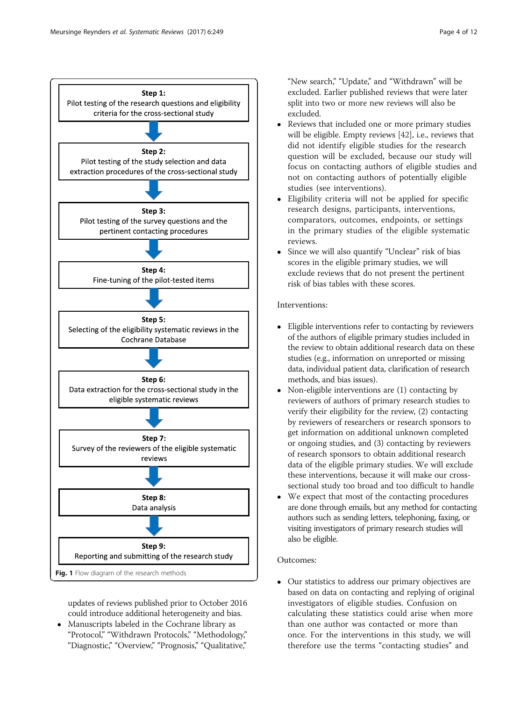<span id="page-3-0"></span>

updates of reviews published prior to October 2016 could introduce additional heterogeneity and bias.

 Manuscripts labeled in the Cochrane library as "Protocol," "Withdrawn Protocols," "Methodology," "Diagnostic," "Overview," "Prognosis," "Qualitative,"

"New search," "Update," and "Withdrawn" will be excluded. Earlier published reviews that were later split into two or more new reviews will also be excluded.

- Reviews that included one or more primary studies will be eligible. Empty reviews [\[42\]](#page-11-0), i.e., reviews that did not identify eligible studies for the research question will be excluded, because our study will focus on contacting authors of eligible studies and not on contacting authors of potentially eligible studies (see interventions).
- Eligibility criteria will not be applied for specific research designs, participants, interventions, comparators, outcomes, endpoints, or settings in the primary studies of the eligible systematic reviews.
- Since we will also quantify "Unclear" risk of bias scores in the eligible primary studies, we will exclude reviews that do not present the pertinent risk of bias tables with these scores.

# Interventions:

- Eligible interventions refer to contacting by reviewers of the authors of eligible primary studies included in the review to obtain additional research data on these studies (e.g., information on unreported or missing data, individual patient data, clarification of research methods, and bias issues).
- Non-eligible interventions are (1) contacting by reviewers of authors of primary research studies to verify their eligibility for the review, (2) contacting by reviewers of researchers or research sponsors to get information on additional unknown completed or ongoing studies, and (3) contacting by reviewers of research sponsors to obtain additional research data of the eligible primary studies. We will exclude these interventions, because it will make our crosssectional study too broad and too difficult to handle
- We expect that most of the contacting procedures are done through emails, but any method for contacting authors such as sending letters, telephoning, faxing, or visiting investigators of primary research studies will also be eligible.

## Outcomes:

 Our statistics to address our primary objectives are based on data on contacting and replying of original investigators of eligible studies. Confusion on calculating these statistics could arise when more than one author was contacted or more than once. For the interventions in this study, we will therefore use the terms "contacting studies" and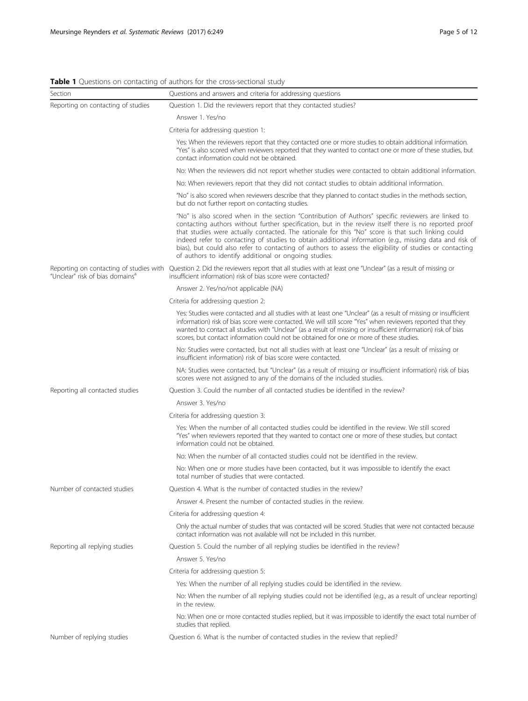# <span id="page-4-0"></span>Table 1 Questions on contacting of authors for the cross-sectional study

| Section                                                                                | Questions and answers and criteria for addressing questions                                                                                                                                                                                                                                                                                                                                                                                                                                                                                                                                     |  |  |  |  |
|----------------------------------------------------------------------------------------|-------------------------------------------------------------------------------------------------------------------------------------------------------------------------------------------------------------------------------------------------------------------------------------------------------------------------------------------------------------------------------------------------------------------------------------------------------------------------------------------------------------------------------------------------------------------------------------------------|--|--|--|--|
| Reporting on contacting of studies                                                     | Question 1. Did the reviewers report that they contacted studies?                                                                                                                                                                                                                                                                                                                                                                                                                                                                                                                               |  |  |  |  |
|                                                                                        | Answer 1. Yes/no                                                                                                                                                                                                                                                                                                                                                                                                                                                                                                                                                                                |  |  |  |  |
|                                                                                        | Criteria for addressing question 1:                                                                                                                                                                                                                                                                                                                                                                                                                                                                                                                                                             |  |  |  |  |
|                                                                                        | Yes: When the reviewers report that they contacted one or more studies to obtain additional information.<br>"Yes" is also scored when reviewers reported that they wanted to contact one or more of these studies, but<br>contact information could not be obtained.                                                                                                                                                                                                                                                                                                                            |  |  |  |  |
|                                                                                        | No: When the reviewers did not report whether studies were contacted to obtain additional information.                                                                                                                                                                                                                                                                                                                                                                                                                                                                                          |  |  |  |  |
|                                                                                        | No: When reviewers report that they did not contact studies to obtain additional information.                                                                                                                                                                                                                                                                                                                                                                                                                                                                                                   |  |  |  |  |
|                                                                                        | "No" is also scored when reviewers describe that they planned to contact studies in the methods section,<br>but do not further report on contacting studies.                                                                                                                                                                                                                                                                                                                                                                                                                                    |  |  |  |  |
|                                                                                        | "No" is also scored when in the section "Contribution of Authors" specific reviewers are linked to<br>contacting authors without further specification, but in the review itself there is no reported proof<br>that studies were actually contacted. The rationale for this "No" score is that such linking could<br>indeed refer to contacting of studies to obtain additional information (e.g., missing data and risk of<br>bias), but could also refer to contacting of authors to assess the eligibility of studies or contacting<br>of authors to identify additional or ongoing studies. |  |  |  |  |
| Reporting on contacting of studies with<br>"Unclear" risk of bias domains <sup>a</sup> | Question 2. Did the reviewers report that all studies with at least one "Unclear" (as a result of missing or<br>insufficient information) risk of bias score were contacted?                                                                                                                                                                                                                                                                                                                                                                                                                    |  |  |  |  |
|                                                                                        | Answer 2. Yes/no/not applicable (NA)                                                                                                                                                                                                                                                                                                                                                                                                                                                                                                                                                            |  |  |  |  |
|                                                                                        | Criteria for addressing question 2:                                                                                                                                                                                                                                                                                                                                                                                                                                                                                                                                                             |  |  |  |  |
|                                                                                        | Yes: Studies were contacted and all studies with at least one "Unclear" (as a result of missing or insufficient<br>information) risk of bias score were contacted. We will still score "Yes" when reviewers reported that they<br>wanted to contact all studies with "Unclear" (as a result of missing or insufficient information) risk of bias<br>scores, but contact information could not be obtained for one or more of these studies.                                                                                                                                                     |  |  |  |  |
|                                                                                        | No: Studies were contacted, but not all studies with at least one "Unclear" (as a result of missing or<br>insufficient information) risk of bias score were contacted.                                                                                                                                                                                                                                                                                                                                                                                                                          |  |  |  |  |
|                                                                                        | NA: Studies were contacted, but "Unclear" (as a result of missing or insufficient information) risk of bias<br>scores were not assigned to any of the domains of the included studies.                                                                                                                                                                                                                                                                                                                                                                                                          |  |  |  |  |
| Reporting all contacted studies                                                        | Question 3. Could the number of all contacted studies be identified in the review?                                                                                                                                                                                                                                                                                                                                                                                                                                                                                                              |  |  |  |  |
|                                                                                        | Answer 3. Yes/no                                                                                                                                                                                                                                                                                                                                                                                                                                                                                                                                                                                |  |  |  |  |
|                                                                                        | Criteria for addressing question 3:                                                                                                                                                                                                                                                                                                                                                                                                                                                                                                                                                             |  |  |  |  |
|                                                                                        | Yes: When the number of all contacted studies could be identified in the review. We still scored<br>"Yes" when reviewers reported that they wanted to contact one or more of these studies, but contact<br>information could not be obtained.                                                                                                                                                                                                                                                                                                                                                   |  |  |  |  |
|                                                                                        | No: When the number of all contacted studies could not be identified in the review.                                                                                                                                                                                                                                                                                                                                                                                                                                                                                                             |  |  |  |  |
|                                                                                        | No: When one or more studies have been contacted, but it was impossible to identify the exact<br>total number of studies that were contacted.                                                                                                                                                                                                                                                                                                                                                                                                                                                   |  |  |  |  |
| Number of contacted studies                                                            | Question 4. What is the number of contacted studies in the review?                                                                                                                                                                                                                                                                                                                                                                                                                                                                                                                              |  |  |  |  |
|                                                                                        | Answer 4. Present the number of contacted studies in the review.                                                                                                                                                                                                                                                                                                                                                                                                                                                                                                                                |  |  |  |  |
|                                                                                        | Criteria for addressing question 4:                                                                                                                                                                                                                                                                                                                                                                                                                                                                                                                                                             |  |  |  |  |
|                                                                                        | Only the actual number of studies that was contacted will be scored. Studies that were not contacted because<br>contact information was not available will not be included in this number.                                                                                                                                                                                                                                                                                                                                                                                                      |  |  |  |  |
| Reporting all replying studies                                                         | Question 5. Could the number of all replying studies be identified in the review?                                                                                                                                                                                                                                                                                                                                                                                                                                                                                                               |  |  |  |  |
|                                                                                        | Answer 5. Yes/no                                                                                                                                                                                                                                                                                                                                                                                                                                                                                                                                                                                |  |  |  |  |
|                                                                                        | Criteria for addressing question 5:                                                                                                                                                                                                                                                                                                                                                                                                                                                                                                                                                             |  |  |  |  |
|                                                                                        | Yes: When the number of all replying studies could be identified in the review.                                                                                                                                                                                                                                                                                                                                                                                                                                                                                                                 |  |  |  |  |
|                                                                                        | No: When the number of all replying studies could not be identified (e.g., as a result of unclear reporting)<br>in the review.                                                                                                                                                                                                                                                                                                                                                                                                                                                                  |  |  |  |  |
|                                                                                        | No: When one or more contacted studies replied, but it was impossible to identify the exact total number of<br>studies that replied.                                                                                                                                                                                                                                                                                                                                                                                                                                                            |  |  |  |  |
| Number of replying studies                                                             | Question 6. What is the number of contacted studies in the review that replied?                                                                                                                                                                                                                                                                                                                                                                                                                                                                                                                 |  |  |  |  |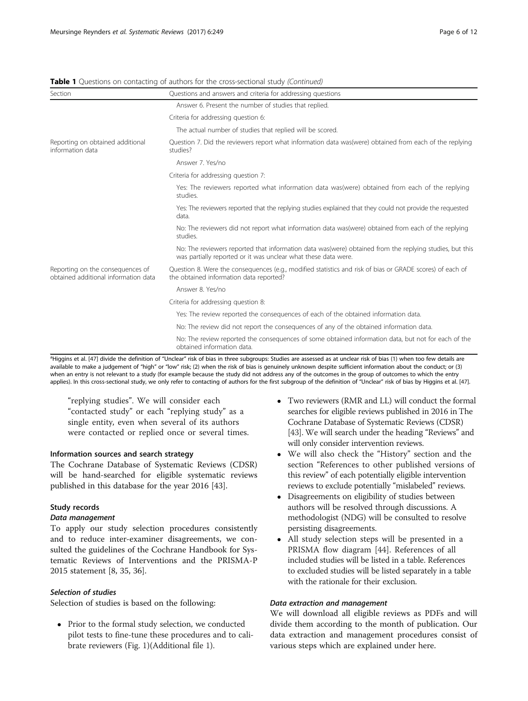|  |  |  |  |  |  |  |  |  | Table 1 Questions on contacting of authors for the cross-sectional study (Continued) |  |  |
|--|--|--|--|--|--|--|--|--|--------------------------------------------------------------------------------------|--|--|
|--|--|--|--|--|--|--|--|--|--------------------------------------------------------------------------------------|--|--|

| Section                                                                  | Questions and answers and criteria for addressing questions                                                                                                                |  |  |  |
|--------------------------------------------------------------------------|----------------------------------------------------------------------------------------------------------------------------------------------------------------------------|--|--|--|
|                                                                          | Answer 6. Present the number of studies that replied.                                                                                                                      |  |  |  |
|                                                                          | Criteria for addressing question 6:                                                                                                                                        |  |  |  |
|                                                                          | The actual number of studies that replied will be scored.                                                                                                                  |  |  |  |
| Reporting on obtained additional<br>information data                     | Question 7. Did the reviewers report what information data was (were) obtained from each of the replying<br>studies?                                                       |  |  |  |
|                                                                          | Answer 7. Yes/no                                                                                                                                                           |  |  |  |
|                                                                          | Criteria for addressing question 7:                                                                                                                                        |  |  |  |
|                                                                          | Yes: The reviewers reported what information data was (were) obtained from each of the replying<br>studies.                                                                |  |  |  |
|                                                                          | Yes: The reviewers reported that the replying studies explained that they could not provide the requested<br>data.                                                         |  |  |  |
|                                                                          | No: The reviewers did not report what information data was (were) obtained from each of the replying<br>studies.                                                           |  |  |  |
|                                                                          | No: The reviewers reported that information data was (were) obtained from the replying studies, but this<br>was partially reported or it was unclear what these data were. |  |  |  |
| Reporting on the consequences of<br>obtained additional information data | Question 8. Were the consequences (e.g., modified statistics and risk of bias or GRADE scores) of each of<br>the obtained information data reported?                       |  |  |  |
|                                                                          | Answer 8. Yes/no                                                                                                                                                           |  |  |  |
|                                                                          | Criteria for addressing question 8:                                                                                                                                        |  |  |  |
|                                                                          | Yes: The review reported the consequences of each of the obtained information data.                                                                                        |  |  |  |
|                                                                          | No: The review did not report the consequences of any of the obtained information data.                                                                                    |  |  |  |
|                                                                          | No: The review reported the consequences of some obtained information data, but not for each of the<br>obtained information data.                                          |  |  |  |

<sup>a</sup>Higgins et al. [[47\]](#page-11-0) divide the definition of "Unclear" risk of bias in three subgroups: Studies are assessed as at unclear risk of bias (1) when too few details are available to make a judgement of "high" or "low" risk; (2) when the risk of bias is genuinely unknown despite sufficient information about the conduct; or (3) when an entry is not relevant to a study (for example because the study did not address any of the outcomes in the group of outcomes to which the entry applies). In this cross-sectional study, we only refer to contacting of authors for the first subgroup of the definition of "Unclear" risk of bias by Higgins et al. [\[47](#page-11-0)].

"replying studies". We will consider each "contacted study" or each "replying study" as a single entity, even when several of its authors were contacted or replied once or several times.

## Information sources and search strategy

The Cochrane Database of Systematic Reviews (CDSR) will be hand-searched for eligible systematic reviews published in this database for the year 2016 [[43](#page-11-0)].

## Study records

## Data management

To apply our study selection procedures consistently and to reduce inter-examiner disagreements, we consulted the guidelines of the Cochrane Handbook for Systematic Reviews of Interventions and the PRISMA-P 2015 statement [\[8](#page-10-0), [35](#page-11-0), [36](#page-11-0)].

#### Selection of studies

Selection of studies is based on the following:

• Prior to the formal study selection, we conducted pilot tests to fine-tune these procedures and to calibrate reviewers (Fig. [1\)](#page-3-0)(Additional file [1](#page-9-0)).

- Two reviewers (RMR and LL) will conduct the formal searches for eligible reviews published in 2016 in The Cochrane Database of Systematic Reviews (CDSR) [[43](#page-11-0)]. We will search under the heading "Reviews" and will only consider intervention reviews.
- We will also check the "History" section and the section "References to other published versions of this review" of each potentially eligible intervention reviews to exclude potentially "mislabeled" reviews.
- Disagreements on eligibility of studies between authors will be resolved through discussions. A methodologist (NDG) will be consulted to resolve persisting disagreements.
- All study selection steps will be presented in a PRISMA flow diagram [\[44\]](#page-11-0). References of all included studies will be listed in a table. References to excluded studies will be listed separately in a table with the rationale for their exclusion.

## Data extraction and management

We will download all eligible reviews as PDFs and will divide them according to the month of publication. Our data extraction and management procedures consist of various steps which are explained under here.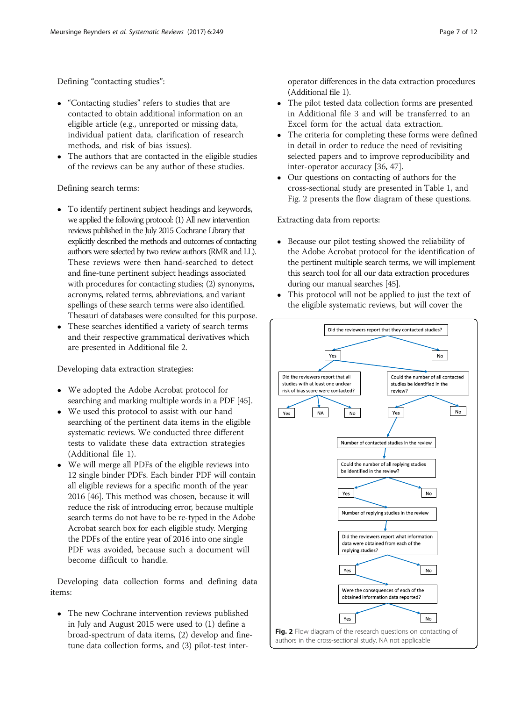Defining "contacting studies":

- "Contacting studies" refers to studies that are contacted to obtain additional information on an eligible article (e.g., unreported or missing data, individual patient data, clarification of research methods, and risk of bias issues).
- The authors that are contacted in the eligible studies of the reviews can be any author of these studies.

Defining search terms:

- To identify pertinent subject headings and keywords, we applied the following protocol: (1) All new intervention reviews published in the July 2015 Cochrane Library that explicitly described the methods and outcomes of contacting authors were selected by two review authors (RMR and LL). These reviews were then hand-searched to detect and fine-tune pertinent subject headings associated with procedures for contacting studies; (2) synonyms, acronyms, related terms, abbreviations, and variant spellings of these search terms were also identified. Thesauri of databases were consulted for this purpose.
- These searches identified a variety of search terms and their respective grammatical derivatives which are presented in Additional file [2](#page-9-0).

Developing data extraction strategies:

- We adopted the Adobe Acrobat protocol for searching and marking multiple words in a PDF [\[45\]](#page-11-0).
- We used this protocol to assist with our hand searching of the pertinent data items in the eligible systematic reviews. We conducted three different tests to validate these data extraction strategies (Additional file [1](#page-9-0)).
- We will merge all PDFs of the eligible reviews into 12 single binder PDFs. Each binder PDF will contain all eligible reviews for a specific month of the year 2016 [\[46\]](#page-11-0). This method was chosen, because it will reduce the risk of introducing error, because multiple search terms do not have to be re-typed in the Adobe Acrobat search box for each eligible study. Merging the PDFs of the entire year of 2016 into one single PDF was avoided, because such a document will become difficult to handle.

Developing data collection forms and defining data items:

 The new Cochrane intervention reviews published in July and August 2015 were used to (1) define a broad-spectrum of data items, (2) develop and finetune data collection forms, and (3) pilot-test interoperator differences in the data extraction procedures (Additional file [1\)](#page-9-0).

- The pilot tested data collection forms are presented in Additional file [3](#page-9-0) and will be transferred to an Excel form for the actual data extraction.
- The criteria for completing these forms were defined in detail in order to reduce the need of revisiting selected papers and to improve reproducibility and inter-operator accuracy [[36](#page-11-0), [47\]](#page-11-0).
- Our questions on contacting of authors for the cross-sectional study are presented in Table [1,](#page-4-0) and Fig. 2 presents the flow diagram of these questions.

Extracting data from reports:

- Because our pilot testing showed the reliability of the Adobe Acrobat protocol for the identification of the pertinent multiple search terms, we will implement this search tool for all our data extraction procedures during our manual searches [\[45\]](#page-11-0).
- This protocol will not be applied to just the text of the eligible systematic reviews, but will cover the

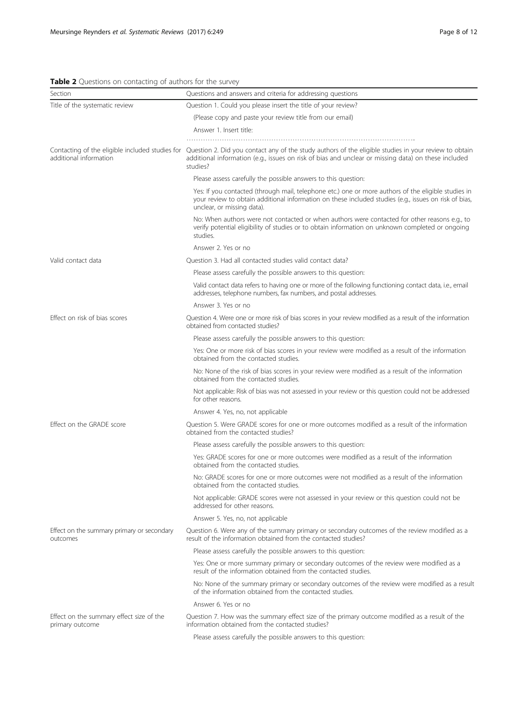# <span id="page-7-0"></span>Table 2 Questions on contacting of authors for the survey

| Section                                                     | Questions and answers and criteria for addressing questions                                                                                                                                                                                                              |  |  |  |  |
|-------------------------------------------------------------|--------------------------------------------------------------------------------------------------------------------------------------------------------------------------------------------------------------------------------------------------------------------------|--|--|--|--|
| Title of the systematic review                              | Question 1. Could you please insert the title of your review?                                                                                                                                                                                                            |  |  |  |  |
|                                                             | (Please copy and paste your review title from our email)                                                                                                                                                                                                                 |  |  |  |  |
|                                                             | Answer 1. Insert title:                                                                                                                                                                                                                                                  |  |  |  |  |
|                                                             |                                                                                                                                                                                                                                                                          |  |  |  |  |
| additional information                                      | Contacting of the eligible included studies for Question 2. Did you contact any of the study authors of the eligible studies in your review to obtain<br>additional information (e.g., issues on risk of bias and unclear or missing data) on these included<br>studies? |  |  |  |  |
|                                                             | Please assess carefully the possible answers to this question:                                                                                                                                                                                                           |  |  |  |  |
|                                                             | Yes: If you contacted (through mail, telephone etc.) one or more authors of the eligible studies in<br>your review to obtain additional information on these included studies (e.g., issues on risk of bias,<br>unclear, or missing data).                               |  |  |  |  |
|                                                             | No: When authors were not contacted or when authors were contacted for other reasons e.g., to<br>verify potential eligibility of studies or to obtain information on unknown completed or ongoing<br>studies.                                                            |  |  |  |  |
|                                                             | Answer 2. Yes or no                                                                                                                                                                                                                                                      |  |  |  |  |
| Valid contact data                                          | Question 3. Had all contacted studies valid contact data?                                                                                                                                                                                                                |  |  |  |  |
|                                                             | Please assess carefully the possible answers to this question:                                                                                                                                                                                                           |  |  |  |  |
|                                                             | Valid contact data refers to having one or more of the following functioning contact data, i.e., email<br>addresses, telephone numbers, fax numbers, and postal addresses.                                                                                               |  |  |  |  |
|                                                             | Answer 3. Yes or no                                                                                                                                                                                                                                                      |  |  |  |  |
| Effect on risk of bias scores                               | Question 4. Were one or more risk of bias scores in your review modified as a result of the information<br>obtained from contacted studies?                                                                                                                              |  |  |  |  |
|                                                             | Please assess carefully the possible answers to this question:                                                                                                                                                                                                           |  |  |  |  |
|                                                             | Yes: One or more risk of bias scores in your review were modified as a result of the information<br>obtained from the contacted studies.                                                                                                                                 |  |  |  |  |
|                                                             | No: None of the risk of bias scores in your review were modified as a result of the information<br>obtained from the contacted studies.                                                                                                                                  |  |  |  |  |
|                                                             | Not applicable: Risk of bias was not assessed in your review or this question could not be addressed<br>for other reasons.                                                                                                                                               |  |  |  |  |
|                                                             | Answer 4. Yes, no, not applicable                                                                                                                                                                                                                                        |  |  |  |  |
| Effect on the GRADE score                                   | Question 5. Were GRADE scores for one or more outcomes modified as a result of the information<br>obtained from the contacted studies?                                                                                                                                   |  |  |  |  |
|                                                             | Please assess carefully the possible answers to this question:                                                                                                                                                                                                           |  |  |  |  |
|                                                             | Yes: GRADE scores for one or more outcomes were modified as a result of the information<br>obtained from the contacted studies.                                                                                                                                          |  |  |  |  |
|                                                             | No: GRADE scores for one or more outcomes were not modified as a result of the information<br>obtained from the contacted studies.                                                                                                                                       |  |  |  |  |
|                                                             | Not applicable: GRADE scores were not assessed in your review or this question could not be<br>addressed for other reasons.                                                                                                                                              |  |  |  |  |
|                                                             | Answer 5. Yes, no, not applicable                                                                                                                                                                                                                                        |  |  |  |  |
| Effect on the summary primary or secondary<br>outcomes      | Question 6. Were any of the summary primary or secondary outcomes of the review modified as a<br>result of the information obtained from the contacted studies?                                                                                                          |  |  |  |  |
|                                                             | Please assess carefully the possible answers to this question:                                                                                                                                                                                                           |  |  |  |  |
|                                                             | Yes: One or more summary primary or secondary outcomes of the review were modified as a<br>result of the information obtained from the contacted studies.                                                                                                                |  |  |  |  |
|                                                             | No: None of the summary primary or secondary outcomes of the review were modified as a result<br>of the information obtained from the contacted studies.                                                                                                                 |  |  |  |  |
|                                                             | Answer 6. Yes or no                                                                                                                                                                                                                                                      |  |  |  |  |
| Effect on the summary effect size of the<br>primary outcome | Question 7. How was the summary effect size of the primary outcome modified as a result of the<br>information obtained from the contacted studies?                                                                                                                       |  |  |  |  |
|                                                             | Please assess carefully the possible answers to this question:                                                                                                                                                                                                           |  |  |  |  |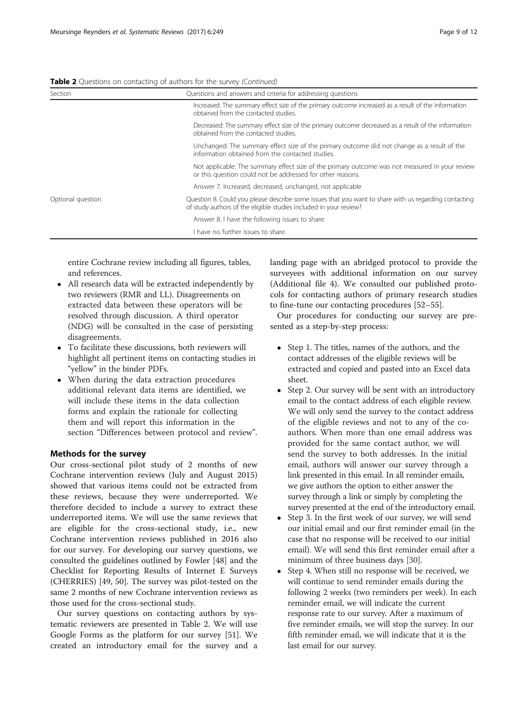#### Table 2 Questions on contacting of authors for the survey (Continued)

| Section           | Questions and answers and criteria for addressing questions                                                                                                                |
|-------------------|----------------------------------------------------------------------------------------------------------------------------------------------------------------------------|
|                   | Increased: The summary effect size of the primary outcome increased as a result of the information<br>obtained from the contacted studies.                                 |
|                   | Decreased: The summary effect size of the primary outcome decreased as a result of the information<br>obtained from the contacted studies.                                 |
|                   | Unchanged: The summary effect size of the primary outcome did not change as a result of the<br>information obtained from the contacted studies.                            |
|                   | Not applicable: The summary effect size of the primary outcome was not measured in your review<br>or this question could not be addressed for other reasons.               |
|                   | Answer 7. Increased, decreased, unchanged, not applicable                                                                                                                  |
| Optional question | Question 8. Could you please describe some issues that you want to share with us regarding contacting<br>of study authors of the eligible studies included in your review? |
|                   | Answer 8. I have the following issues to share:                                                                                                                            |
|                   | I have no further issues to share.                                                                                                                                         |
|                   |                                                                                                                                                                            |

entire Cochrane review including all figures, tables, and references.

- All research data will be extracted independently by two reviewers (RMR and LL). Disagreements on extracted data between these operators will be resolved through discussion. A third operator (NDG) will be consulted in the case of persisting disagreements.
- To facilitate these discussions, both reviewers will highlight all pertinent items on contacting studies in "yellow" in the binder PDFs.
- When during the data extraction procedures additional relevant data items are identified, we will include these items in the data collection forms and explain the rationale for collecting them and will report this information in the section "Differences between protocol and review".

## Methods for the survey

Our cross-sectional pilot study of 2 months of new Cochrane intervention reviews (July and August 2015) showed that various items could not be extracted from these reviews, because they were underreported. We therefore decided to include a survey to extract these underreported items. We will use the same reviews that are eligible for the cross-sectional study, i.e., new Cochrane intervention reviews published in 2016 also for our survey. For developing our survey questions, we consulted the guidelines outlined by Fowler [\[48\]](#page-11-0) and the Checklist for Reporting Results of Internet E Surveys (CHERRIES) [[49, 50\]](#page-11-0). The survey was pilot-tested on the same 2 months of new Cochrane intervention reviews as those used for the cross-sectional study.

Our survey questions on contacting authors by systematic reviewers are presented in Table [2.](#page-7-0) We will use Google Forms as the platform for our survey [[51\]](#page-11-0). We created an introductory email for the survey and a

landing page with an abridged protocol to provide the surveyees with additional information on our survey (Additional file [4](#page-10-0)). We consulted our published protocols for contacting authors of primary research studies to fine-tune our contacting procedures [\[52](#page-11-0)–[55\]](#page-11-0).

Our procedures for conducting our survey are presented as a step-by-step process:

- Step 1. The titles, names of the authors, and the contact addresses of the eligible reviews will be extracted and copied and pasted into an Excel data sheet.
- Step 2. Our survey will be sent with an introductory email to the contact address of each eligible review. We will only send the survey to the contact address of the eligible reviews and not to any of the coauthors. When more than one email address was provided for the same contact author, we will send the survey to both addresses. In the initial email, authors will answer our survey through a link presented in this email. In all reminder emails, we give authors the option to either answer the survey through a link or simply by completing the survey presented at the end of the introductory email.
- Step 3. In the first week of our survey, we will send our initial email and our first reminder email (in the case that no response will be received to our initial email). We will send this first reminder email after a minimum of three business days [[30](#page-11-0)].
- Step 4. When still no response will be received, we will continue to send reminder emails during the following 2 weeks (two reminders per week). In each reminder email, we will indicate the current response rate to our survey. After a maximum of five reminder emails, we will stop the survey. In our fifth reminder email, we will indicate that it is the last email for our survey.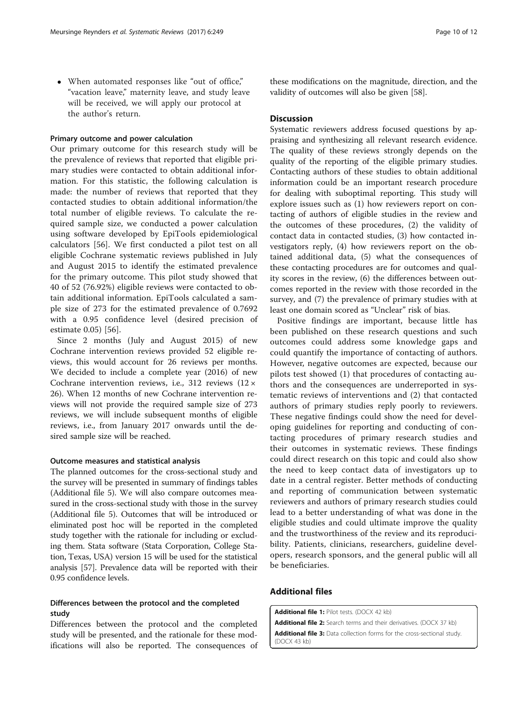<span id="page-9-0"></span> When automated responses like "out of office," "vacation leave," maternity leave, and study leave will be received, we will apply our protocol at the author's return.

### Primary outcome and power calculation

Our primary outcome for this research study will be the prevalence of reviews that reported that eligible primary studies were contacted to obtain additional information. For this statistic, the following calculation is made: the number of reviews that reported that they contacted studies to obtain additional information/the total number of eligible reviews. To calculate the required sample size, we conducted a power calculation using software developed by EpiTools epidemiological calculators [[56\]](#page-11-0). We first conducted a pilot test on all eligible Cochrane systematic reviews published in July and August 2015 to identify the estimated prevalence for the primary outcome. This pilot study showed that 40 of 52 (76.92%) eligible reviews were contacted to obtain additional information. EpiTools calculated a sample size of 273 for the estimated prevalence of 0.7692 with a 0.95 confidence level (desired precision of estimate 0.05) [[56](#page-11-0)].

Since 2 months (July and August 2015) of new Cochrane intervention reviews provided 52 eligible reviews, this would account for 26 reviews per months. We decided to include a complete year (2016) of new Cochrane intervention reviews, i.e., 312 reviews  $(12 \times$ 26). When 12 months of new Cochrane intervention reviews will not provide the required sample size of 273 reviews, we will include subsequent months of eligible reviews, i.e., from January 2017 onwards until the desired sample size will be reached.

#### Outcome measures and statistical analysis

The planned outcomes for the cross-sectional study and the survey will be presented in summary of findings tables (Additional file [5](#page-10-0)). We will also compare outcomes measured in the cross-sectional study with those in the survey (Additional file [5](#page-10-0)). Outcomes that will be introduced or eliminated post hoc will be reported in the completed study together with the rationale for including or excluding them. Stata software (Stata Corporation, College Station, Texas, USA) version 15 will be used for the statistical analysis [\[57\]](#page-11-0). Prevalence data will be reported with their 0.95 confidence levels.

## Differences between the protocol and the completed study

Differences between the protocol and the completed study will be presented, and the rationale for these modifications will also be reported. The consequences of these modifications on the magnitude, direction, and the validity of outcomes will also be given [[58\]](#page-11-0).

#### **Discussion**

Systematic reviewers address focused questions by appraising and synthesizing all relevant research evidence. The quality of these reviews strongly depends on the quality of the reporting of the eligible primary studies. Contacting authors of these studies to obtain additional information could be an important research procedure for dealing with suboptimal reporting. This study will explore issues such as (1) how reviewers report on contacting of authors of eligible studies in the review and the outcomes of these procedures, (2) the validity of contact data in contacted studies, (3) how contacted investigators reply, (4) how reviewers report on the obtained additional data, (5) what the consequences of these contacting procedures are for outcomes and quality scores in the review, (6) the differences between outcomes reported in the review with those recorded in the survey, and (7) the prevalence of primary studies with at least one domain scored as "Unclear" risk of bias.

Positive findings are important, because little has been published on these research questions and such outcomes could address some knowledge gaps and could quantify the importance of contacting of authors. However, negative outcomes are expected, because our pilots test showed (1) that procedures of contacting authors and the consequences are underreported in systematic reviews of interventions and (2) that contacted authors of primary studies reply poorly to reviewers. These negative findings could show the need for developing guidelines for reporting and conducting of contacting procedures of primary research studies and their outcomes in systematic reviews. These findings could direct research on this topic and could also show the need to keep contact data of investigators up to date in a central register. Better methods of conducting and reporting of communication between systematic reviewers and authors of primary research studies could lead to a better understanding of what was done in the eligible studies and could ultimate improve the quality and the trustworthiness of the review and its reproducibility. Patients, clinicians, researchers, guideline developers, research sponsors, and the general public will all be beneficiaries.

### Additional files

[Additional file 1:](dx.doi.org/10.1186/s13643-017-0643-z) Pilot tests. (DOCX 42 kb) [Additional file 2:](dx.doi.org/10.1186/s13643-017-0643-z) Search terms and their derivatives. (DOCX 37 kb) [Additional file 3:](dx.doi.org/10.1186/s13643-017-0643-z) Data collection forms for the cross-sectional study. (DOCX 43 kb)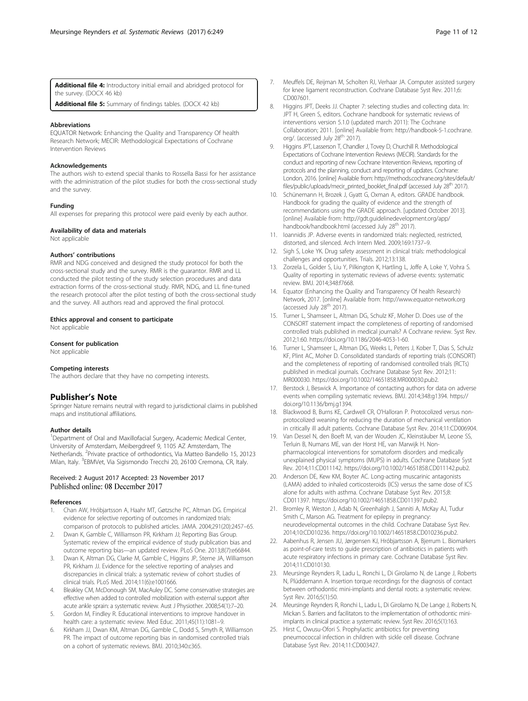<span id="page-10-0"></span>[Additional file 4:](dx.doi.org/10.1186/s13643-017-0643-z) Introductory initial email and abridged protocol for the survey. (DOCX 46 kb)

[Additional file 5:](dx.doi.org/10.1186/s13643-017-0643-z) Summary of findings tables. (DOCX 42 kb)

#### Abbreviations

EQUATOR Network: Enhancing the Quality and Transparency Of health Research Network; MECIR: Methodological Expectations of Cochrane Intervention Reviews

#### Acknowledgements

The authors wish to extend special thanks to Rossella Bassi for her assistance with the administration of the pilot studies for both the cross-sectional study and the survey.

#### Funding

All expenses for preparing this protocol were paid evenly by each author.

#### Availability of data and materials

Not applicable

#### Authors' contributions

RMR and NDG conceived and designed the study protocol for both the cross-sectional study and the survey. RMR is the guarantor. RMR and LL conducted the pilot testing of the study selection procedures and data extraction forms of the cross-sectional study. RMR, NDG, and LL fine-tuned the research protocol after the pilot testing of both the cross-sectional study and the survey. All authors read and approved the final protocol.

#### Ethics approval and consent to participate

Not applicable

#### Consent for publication

Not applicable

#### Competing interests

The authors declare that they have no competing interests.

#### Publisher's Note

Springer Nature remains neutral with regard to jurisdictional claims in published maps and institutional affiliations.

#### Author details

<sup>1</sup>Department of Oral and Maxillofacial Surgery, Academic Medical Center, University of Amsterdam, Meibergdreef 9, 1105 AZ Amsterdam, The Netherlands. <sup>2</sup>Private practice of orthodontics, Via Matteo Bandello 15, 20123 Milan, Italy. <sup>3</sup>EBMVet, Via Sigismondo Trecchi 20, 26100 Cremona, CR, Italy.

#### Received: 2 August 2017 Accepted: 23 November 2017 Published online: 08 December 2017

#### References

- 1. Chan AW, Hróbjartsson A, Haahr MT, Gøtzsche PC, Altman DG. Empirical evidence for selective reporting of outcomes in randomized trials: comparison of protocols to published articles. JAMA. 2004;291(20):2457–65.
- 2. Dwan K, Gamble C, Williamson PR, Kirkham JJ; Reporting Bias Group. Systematic review of the empirical evidence of study publication bias and outcome reporting bias—an updated review. PLoS One. 2013;8(7):e66844.
- 3. Dwan K, Altman DG, Clarke M, Gamble C, Higgins JP, Sterne JA, Williamson PR, Kirkham JJ. Evidence for the selective reporting of analyses and discrepancies in clinical trials: a systematic review of cohort studies of clinical trials. PLoS Med. 2014;11(6):e1001666.
- 4. Bleakley CM, McDonough SM, MacAuley DC. Some conservative strategies are effective when added to controlled mobilization with external support after acute ankle sprain: a systematic review. Aust J Physiother. 2008;54(1):7–20.
- 5. Gordon M, Findley R. Educational interventions to improve handover in health care: a systematic review. Med Educ. 2011;45(11):1081–9.
- Kirkham JJ, Dwan KM, Altman DG, Gamble C, Dodd S, Smyth R, Williamson PR. The impact of outcome reporting bias in randomised controlled trials on a cohort of systematic reviews. BMJ. 2010;340:c365.
- 7. Meuffels DE, Reijman M, Scholten RJ, Verhaar JA. Computer assisted surgery for knee ligament reconstruction. Cochrane Database Syst Rev. 2011;6: CD007601.
- 8. Higgins JPT, Deeks JJ. Chapter 7: selecting studies and collecting data. In: JPT H, Green S, editors. Cochrane handbook for systematic reviews of interventions version 5.1.0 (updated march 2011): The Cochrane Collaboration; 2011. [online] Available from: http://handbook-5-1.cochrane. org/. (accessed July 28<sup>th</sup> 2017).
- 9. Higgins JPT, Lasserson T, Chandler J, Tovey D, Churchill R. Methodological Expectations of Cochrane Intervention Reviews (MECIR). Standards for the conduct and reporting of new Cochrane Intervention Reviews, reporting of protocols and the planning, conduct and reporting of updates. Cochrane: London, 2016. [online] Available from: [http://methods.cochrane.org/sites/default/](http://methods.cochrane.org/sites/default/files/public/uploads/mecir_printed_booklet_final.pdf) [files/public/uploads/mecir\\_printed\\_booklet\\_final.pdf](http://methods.cochrane.org/sites/default/files/public/uploads/mecir_printed_booklet_final.pdf) (accessed July 28<sup>th</sup> 2017).
- 10. Schünemann H, Brozek J, Gyatt G, Oxman A, editors. GRADE handbook. Handbook for grading the quality of evidence and the strength of recommendations using the GRADE approach. [updated October 2013]. [online] Available from: [http://gdt.guidelinedevelopment.org/app/](http://gdt.guidelinedevelopment.org/app/handbook/handbook.html) [handbook/handbook.html](http://gdt.guidelinedevelopment.org/app/handbook/handbook.html) (accessed July 28<sup>th</sup> 2017).
- 11. Ioannidis JP. Adverse events in randomized trials: neglected, restricted, distorted, and silenced. Arch Intern Med. 2009;169:1737–9.
- 12. Sigh S, Loke YK. Drug safety assessment in clinical trials: methodological challenges and opportunities. Trials. 2012;13:138.
- 13. Zorzela L, Golder S, Liu Y, Pilkington K, Hartling L, Joffe A, Loke Y, Vohra S. Quality of reporting in systematic reviews of adverse events: systematic review. BMJ. 2014;348:f7668.
- 14. Equator (Enhancing the Quality and Transparency Of health Research) Network, 2017. [online] Available from:<http://www.equator-network.org> (accessed July 28<sup>th</sup> 2017).
- 15. Turner L, Shamseer L, Altman DG, Schulz KF, Moher D. Does use of the CONSORT statement impact the completeness of reporting of randomised controlled trials published in medical journals? A Cochrane review. Syst Rev. 2012;1:60. [https://doi.org/10.1186/2046-4053-1-60](http://dx.doi.org/10.1186/2046-4053-1-60).
- 16. Turner L, Shamseer L, Altman DG, Weeks L, Peters J, Kober T, Dias S, Schulz KF, Plint AC, Moher D. Consolidated standards of reporting trials (CONSORT) and the completeness of reporting of randomised controlled trials (RCTs) published in medical journals. Cochrane Database Syst Rev. 2012;11: MR000030. [https://doi.org/10.1002/14651858.MR000030.pub2.](http://dx.doi.org/10.1002/14651858.MR000030.pub2)
- 17. Berstock J, Beswick A. Importance of contacting authors for data on adverse events when compiling systematic reviews. BMJ. 2014;348:g1394. [https://](http://dx.doi.org/10.1136/bmj.g1394) [doi.org/10.1136/bmj.g1394](http://dx.doi.org/10.1136/bmj.g1394).
- 18. Blackwood B, Burns KE, Cardwell CR, O'Halloran P. Protocolized versus nonprotocolized weaning for reducing the duration of mechanical ventilation in critically ill adult patients. Cochrane Database Syst Rev. 2014;11:CD006904.
- 19. Van Dessel N, den Boeft M, van der Wouden JC, Kleinstäuber M, Leone SS, Terluin B, Numans ME, van der Horst HE, van Marwijk H. Nonpharmacological interventions for somatoform disorders and medically unexplained physical symptoms (MUPS) in adults. Cochrane Database Syst Rev. 2014;11:CD011142. [https://doi.org/10.1002/14651858.CD011142.pub2](http://dx.doi.org/10.1002/14651858.CD011142.pub2).
- 20. Anderson DE, Kew KM, Boyter AC. Long-acting muscarinic antagonists (LAMA) added to inhaled corticosteroids (ICS) versus the same dose of ICS alone for adults with asthma. Cochrane Database Syst Rev. 2015;8: CD011397. [https://doi.org/10.1002/14651858.CD011397.pub2.](http://dx.doi.org/10.1002/14651858.CD011397.pub2)
- 21. Bromley R, Weston J, Adab N, Greenhalgh J, Sanniti A, McKay AJ, Tudur Smith C, Marson AG. Treatment for epilepsy in pregnancy: neurodevelopmental outcomes in the child. Cochrane Database Syst Rev. 2014;10:CD010236. [https://doi.org/10.1002/14651858.CD010236.pub2.](http://dx.doi.org/10.1002/14651858.CD010236.pub2)
- 22. Aabenhus R, Jensen JU, Jørgensen KJ, Hróbjartsson A, Bjerrum L. Biomarkers as point-of-care tests to guide prescription of antibiotics in patients with acute respiratory infections in primary care. Cochrane Database Syst Rev. 2014;11:CD010130.
- 23. Meursinge Reynders R, Ladu L, Ronchi L, Di Girolamo N, de Lange J, Roberts N, Plüddemann A. Insertion torque recordings for the diagnosis of contact between orthodontic mini-implants and dental roots: a systematic review. Syst Rev. 2016;5(1):50.
- 24. Meursinge Reynders R, Ronchi L, Ladu L, Di Girolamo N, De Lange J, Roberts N, Mickan S. Barriers and facilitators to the implementation of orthodontic miniimplants in clinical practice: a systematic review. Syst Rev. 2016;5(1):163.
- 25. Hirst C, Owusu-Ofori S. Prophylactic antibiotics for preventing pneumococcal infection in children with sickle cell disease. Cochrane Database Syst Rev. 2014;11:CD003427.